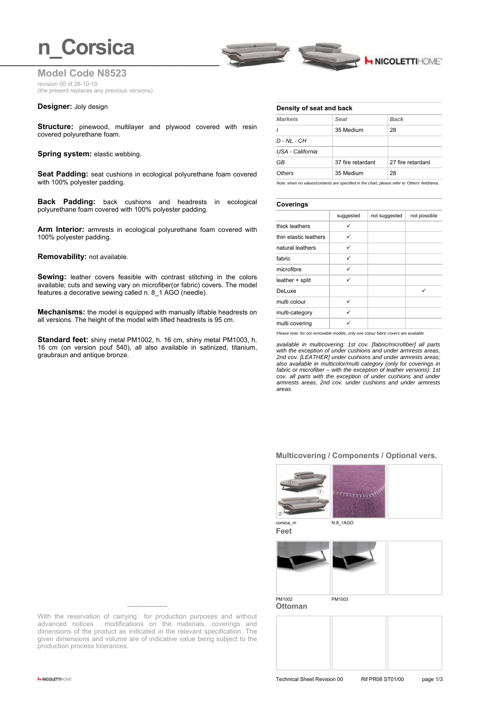

**Model Code N8523** revision 00 of 28-10-19 (the present replaces any previous versions)

#### **Designer:** Joly design

**Structure:** pinewood, multilayer and plywood covered with resin covered polyurethane foam.

#### **Spring system: elastic webbing.**

**Seat Padding:** seat cushions in ecological polyurethane foam covered with 100% polyester padding.

**Back Padding:** back cushions and headrests in ecological polyurethane foam covered with 100% polyester padding.

**Arm Interior:** armrests in ecological polyurethane foam covered with 100% polyester padding.

#### **Removability:** not available.

**Sewing:** leather covers feasible with contrast stitching in the colors available; cuts and sewing vary on microfiber(or fabric) covers. The model features a decorative sewing called n. 8\_1 AGO (needle).

**Mechanisms:** the model is equipped with manually liftable headrests on all versions. The height of the model with lifted headrests is 95 cm.

**Standard feet:** shiny metal PM1002, h. 16 cm, shiny metal PM1003, h. 16 cm (on version pouf 540), all also available in satinized, titanium, graubraun and antique bronze.

#### **Density of seat and back**

| <b>Markets</b>   | Seat              | <b>Back</b>       |
|------------------|-------------------|-------------------|
|                  | 35 Medium         | 28                |
| $D - NL - CH$    |                   |                   |
| USA - California |                   |                   |
| GB               | 37 fire retardant | 27 fire retardant |
| Others           | 35 Medium         | 28                |

*Note: when no values/contents are specified in the chart, please refer to 'Others' field/area.*

#### **Coverings**

|                       | suggested | not suggested | not possible |
|-----------------------|-----------|---------------|--------------|
| thick leathers        | ✓         |               |              |
| thin elastic leathers | ✓         |               |              |
| natural leathers      | ✓         |               |              |
| fabric                | ✓         |               |              |
| microfibre            | ✓         |               |              |
| leather + split       | ✓         |               |              |
| DeLuxe                |           |               | ✓            |
| multi colour          | ✓         |               |              |
| multi-category        | ✓         |               |              |
| multi covering        |           |               |              |

*Please note: for not removable models, only one colour fabric covers are available.*

*available in multicovering: 1st cov. [fabric/microfiber] all parts with the exception of under cushions and under armrests areas, 2nd cov. [LEATHER] under cushions and under armrests areas; also available in multicolor/multi category (only for coverings in fabric or microfiber – with the exception of leather versions): 1st cov. all parts with the exception of under cushions and under armrests areas, 2nd cov. under cushions and under armrests areas.*

#### **Multicovering / Components / Optional vers.**







**Ottoman**



With the reservation of carrying for production purposes and without advanced notices modifications on the materials, coverings and dimensions of the product as indicated in the relevant specification. The given dimensions and volume are of indicative value being subject to the production process tolerances.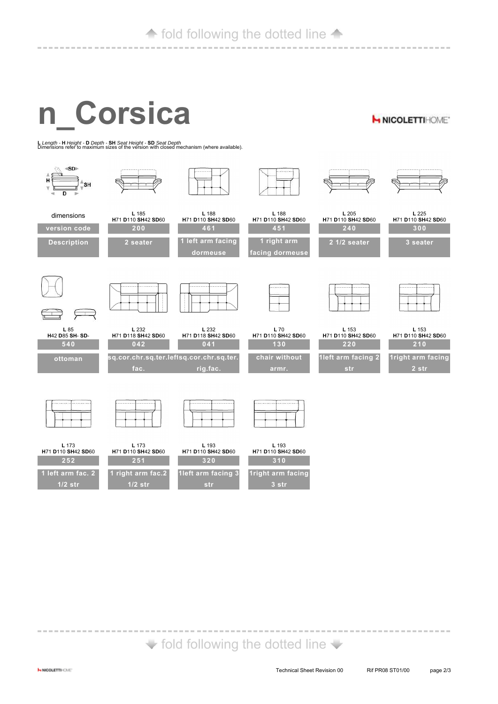## **fold following the dotted line 4**

------------------------------------------------------------

# **n\_Corsica**

**H NICOLETTIHOME\*** 

**<sup>L</sup>***Length -* **<sup>H</sup>***Height -* **<sup>D</sup>***Depth -* **SH** *Seat Height -* **SD** *Seat Depth* Dimensions refer to maximum sizes of the version with closed mechanism (where available).



## $\blacktriangleright$  fold following the dotted line  $\blacktriangleright$